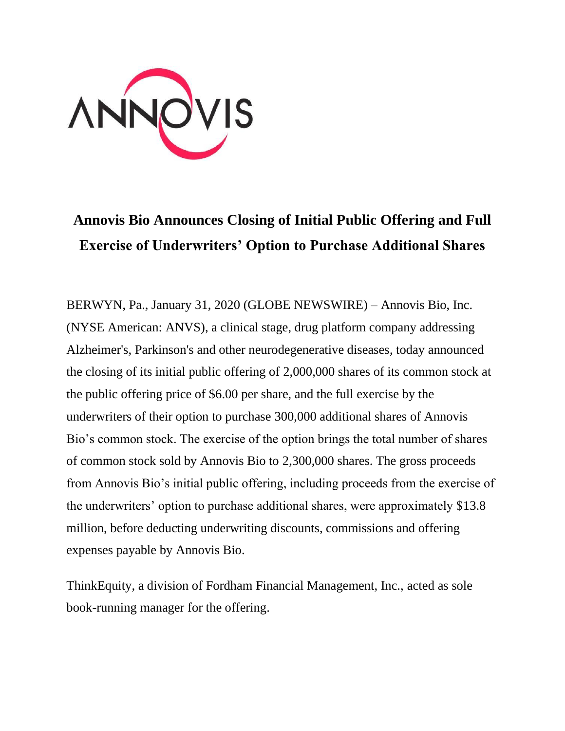

## **Annovis Bio Announces Closing of Initial Public Offering and Full Exercise of Underwriters' Option to Purchase Additional Shares**

BERWYN, Pa., January 31, 2020 (GLOBE NEWSWIRE) – Annovis Bio, Inc. (NYSE American: ANVS), a clinical stage, drug platform company addressing Alzheimer's, Parkinson's and other neurodegenerative diseases, today announced the closing of its initial public offering of 2,000,000 shares of its common stock at the public offering price of \$6.00 per share, and the full exercise by the underwriters of their option to purchase 300,000 additional shares of Annovis Bio's common stock. The exercise of the option brings the total number of shares of common stock sold by Annovis Bio to 2,300,000 shares. The gross proceeds from Annovis Bio's initial public offering, including proceeds from the exercise of the underwriters' option to purchase additional shares, were approximately \$13.8 million, before deducting underwriting discounts, commissions and offering expenses payable by Annovis Bio.

ThinkEquity, a division of Fordham Financial Management, Inc., acted as sole book-running manager for the offering.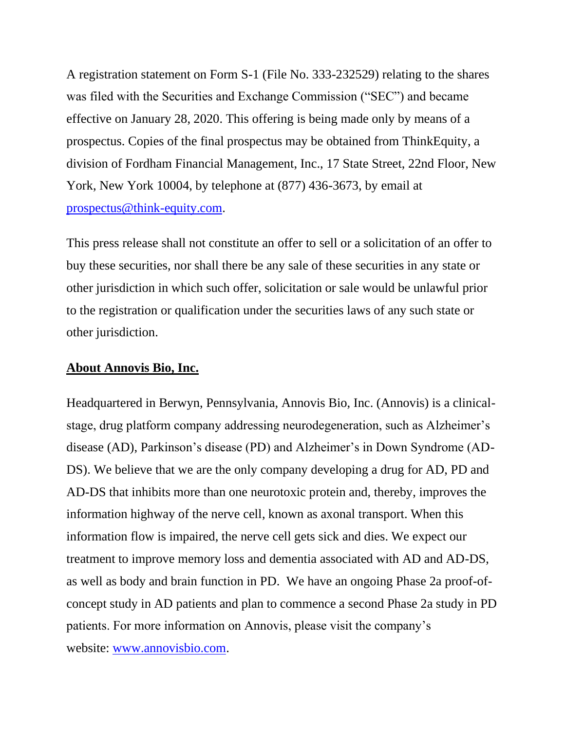A registration statement on Form S-1 (File No. 333-232529) relating to the shares was filed with the Securities and Exchange Commission ("SEC") and became effective on January 28, 2020. This offering is being made only by means of a prospectus. Copies of the final prospectus may be obtained from ThinkEquity, a division of Fordham Financial Management, Inc., 17 State Street, 22nd Floor, New York, New York 10004, by telephone at (877) 436-3673, by email at [prospectus@think-equity.com.](mailto:prospectus@think-equity.com)

This press release shall not constitute an offer to sell or a solicitation of an offer to buy these securities, nor shall there be any sale of these securities in any state or other jurisdiction in which such offer, solicitation or sale would be unlawful prior to the registration or qualification under the securities laws of any such state or other jurisdiction.

## **About Annovis Bio, Inc.**

Headquartered in Berwyn, Pennsylvania, Annovis Bio, Inc. (Annovis) is a clinicalstage, drug platform company addressing neurodegeneration, such as Alzheimer's disease (AD), Parkinson's disease (PD) and Alzheimer's in Down Syndrome (AD-DS). We believe that we are the only company developing a drug for AD, PD and AD-DS that inhibits more than one neurotoxic protein and, thereby, improves the information highway of the nerve cell, known as axonal transport. When this information flow is impaired, the nerve cell gets sick and dies. We expect our treatment to improve memory loss and dementia associated with AD and AD-DS, as well as body and brain function in PD. We have an ongoing Phase 2a proof-ofconcept study in AD patients and plan to commence a second Phase 2a study in PD patients. For more information on Annovis, please visit the company's website: [www.annovisbio.com.](https://www.globenewswire.com/Tracker?data=ofJc6B0gpT_4FCIJBAQOPj3PEcaWjOFnpyEqvT6es67w_7n_FeBs3a6_tUlZQ8JVi9f6ag6ltYZYznk9UDoNxxGpQgOVTaj7P97RQJyPq0w=)